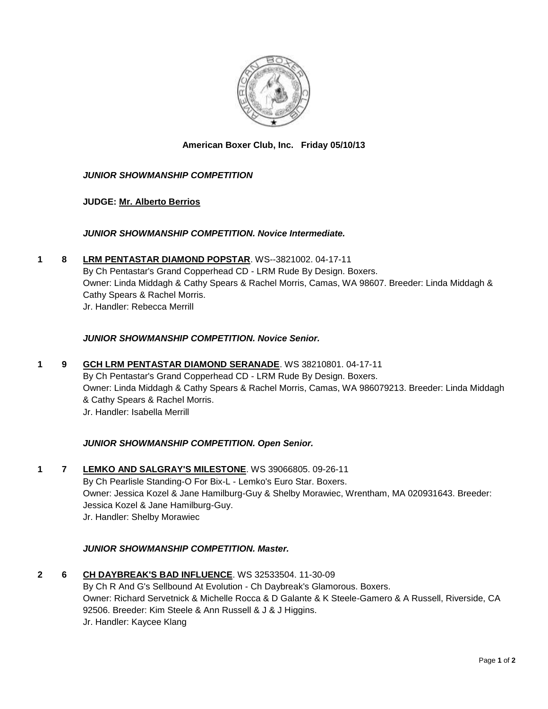

# **American Boxer Club, Inc. Friday 05/10/13**

## *JUNIOR SHOWMANSHIP COMPETITION*

## **JUDGE: [Mr. Alberto Berrios](http://www.infodog.com/judges/6945/juddat.htm)**

## *JUNIOR SHOWMANSHIP COMPETITION. Novice Intermediate.*

**1 8 [LRM PENTASTAR DIAMOND POPSTAR](http://www.infodog.com/files/bdogrsl1.prg;makc=WS--3821002;mdog=LRM_Pentastar_Diamond_Popstar;wins=all)**. WS--3821002. 04-17-11 By Ch Pentastar's Grand Copperhead CD - LRM Rude By Design. Boxers. Owner: Linda Middagh & Cathy Spears & Rachel Morris, Camas, WA 98607. Breeder: Linda Middagh & Cathy Spears & Rachel Morris. Jr. Handler: Rebecca Merrill

## *JUNIOR SHOWMANSHIP COMPETITION. Novice Senior.*

**1 9 [GCH LRM PENTASTAR DIAMOND SERANADE](http://www.infodog.com/files/bdogrsl1.prg;makc=WS%2038210801;mdog=GCH_LRM_Pentastar_Diamond_Seranade;wins=all)**. WS 38210801. 04-17-11 By Ch Pentastar's Grand Copperhead CD - LRM Rude By Design. Boxers. Owner: Linda Middagh & Cathy Spears & Rachel Morris, Camas, WA 986079213. Breeder: Linda Middagh & Cathy Spears & Rachel Morris. Jr. Handler: Isabella Merrill

## *JUNIOR SHOWMANSHIP COMPETITION. Open Senior.*

**1 7 [LEMKO AND SALGRAY'S MILESTONE](http://www.infodog.com/files/bdogrsl1.prg;makc=WS%2039066805;mdog=Lemko_And_Salgray_s_Milestone;wins=all)**. WS 39066805. 09-26-11 By Ch Pearlisle Standing-O For Bix-L - Lemko's Euro Star. Boxers. Owner: Jessica Kozel & Jane Hamilburg-Guy & Shelby Morawiec, Wrentham, MA 020931643. Breeder: Jessica Kozel & Jane Hamilburg-Guy. Jr. Handler: Shelby Morawiec

## *JUNIOR SHOWMANSHIP COMPETITION. Master.*

**2 6 [CH DAYBREAK'S BAD INFLUENCE](http://www.infodog.com/files/bdogrsl1.prg;makc=WS%2032533504;mdog=Ch_Daybreak_s_Bad_Influence;wins=all)**. WS 32533504. 11-30-09 By Ch R And G's Sellbound At Evolution - Ch Daybreak's Glamorous. Boxers. Owner: Richard Servetnick & Michelle Rocca & D Galante & K Steele-Gamero & A Russell, Riverside, CA 92506. Breeder: Kim Steele & Ann Russell & J & J Higgins. Jr. Handler: Kaycee Klang